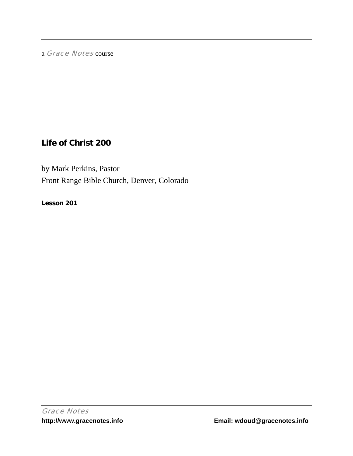a Grace Notes course

# **Life of Christ 200**

by Mark Perkins, Pastor Front Range Bible Church, Denver, Colorado

**Lesson 201**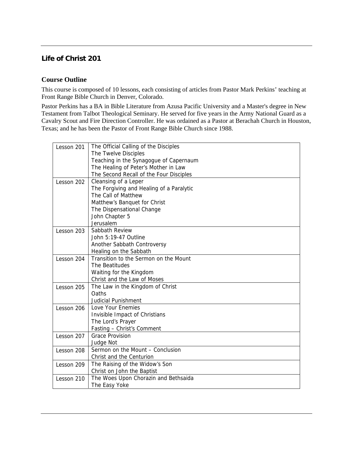# **Life of Christ 201**

## **Course Outline**

This course is composed of 10 lessons, each consisting of articles from Pastor Mark Perkins' teaching at Front Range Bible Church in Denver, Colorado.

Pastor Perkins has a BA in Bible Literature from Azusa Pacific University and a Master's degree in New Testament from Talbot Theological Seminary. He served for five years in the Army National Guard as a Cavalry Scout and Fire Direction Controller. He was ordained as a Pastor at Berachah Church in Houston, Texas; and he has been the Pastor of Front Range Bible Church since 1988.

| Lesson 201 | The Official Calling of the Disciples    |
|------------|------------------------------------------|
|            | The Twelve Disciples                     |
|            | Teaching in the Synagogue of Capernaum   |
|            | The Healing of Peter's Mother in Law     |
|            | The Second Recall of the Four Disciples  |
| Lesson 202 | Cleansing of a Leper                     |
|            | The Forgiving and Healing of a Paralytic |
|            | The Call of Matthew                      |
|            | Matthew's Banquet for Christ             |
|            | The Dispensational Change                |
|            | John Chapter 5                           |
|            | Jerusalem                                |
| Lesson 203 | Sabbath Review                           |
|            | John 5:19-47 Outline                     |
|            | Another Sabbath Controversy              |
|            | Healing on the Sabbath                   |
| Lesson 204 | Transition to the Sermon on the Mount    |
|            | The Beatitudes                           |
|            | Waiting for the Kingdom                  |
|            | Christ and the Law of Moses              |
| Lesson 205 | The Law in the Kingdom of Christ         |
|            | Oaths                                    |
|            | <b>Judicial Punishment</b>               |
| Lesson 206 | Love Your Enemies                        |
|            | Invisible Impact of Christians           |
|            | The Lord's Prayer                        |
|            | Fasting - Christ's Comment               |
| Lesson 207 | <b>Grace Provision</b>                   |
|            | Judge Not                                |
| Lesson 208 | Sermon on the Mount - Conclusion         |
|            | Christ and the Centurion                 |
| Lesson 209 | The Raising of the Widow's Son           |
|            | Christ on John the Baptist               |
| Lesson 210 | The Woes Upon Chorazin and Bethsaida     |
|            | The Easy Yoke                            |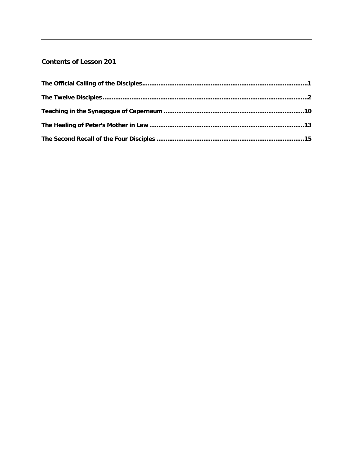# **Contents of Lesson 201**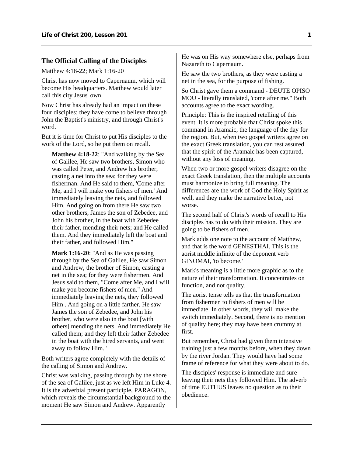### <span id="page-3-0"></span>**The Official Calling of the Disciples**

Matthew 4:18-22; Mark 1:16-20

Christ has now moved to Capernaum, which will become His headquarters. Matthew would later call this city Jesus' own.

Now Christ has already had an impact on these four disciples; they have come to believe through John the Baptist's ministry, and through Christ's word.

But it is time for Christ to put His disciples to the work of the Lord, so he put them on recall.

**Matthew 4:18-22**: "And walking by the Sea of Galilee, He saw two brothers, Simon who was called Peter, and Andrew his brother, casting a net into the sea; for they were fisherman. And He said to them, 'Come after Me, and I will make you fishers of men.' And immediately leaving the nets, and followed Him. And going on from there He saw two other brothers, James the son of Zebedee, and John his brother, in the boat with Zebedee their father, mending their nets; and He called them. And they immediately left the boat and their father, and followed Him."

**Mark 1:16-20**: "And as He was passing through by the Sea of Galilee, He saw Simon and Andrew, the brother of Simon, casting a net in the sea; for they were fishermen. And Jesus said to them, "Come after Me, and I will make you become fishers of men." And immediately leaving the nets, they followed Him . And going on a little farther, He saw James the son of Zebedee, and John his brother, who were also in the boat [with others] mending the nets. And immediately He called them; and they left their father Zebedee in the boat with the hired servants, and went away to follow Him."

Both writers agree completely with the details of the calling of Simon and Andrew.

Christ was walking, passing through by the shore of the sea of Galilee, just as we left Him in Luke 4. It is the adverbial present participle, PARAGON, which reveals the circumstantial background to the moment He saw Simon and Andrew. Apparently

He was on His way somewhere else, perhaps from Nazareth to Capernaum.

He saw the two brothers, as they were casting a net in the sea, for the purpose of fishing.

So Christ gave them a command - DEUTE OPISO MOU - literally translated, 'come after me." Both accounts agree to the exact wording.

Principle: This is the inspired retelling of this event. It is more probable that Christ spoke this command in Aramaic, the language of the day for the region. But, when two gospel writers agree on the exact Greek translation, you can rest assured that the spirit of the Aramaic has been captured, without any loss of meaning.

When two or more gospel writers disagree on the exact Greek translation, then the multiple accounts must harmonize to bring full meaning. The differences are the work of God the Holy Spirit as well, and they make the narrative better, not worse.

The second half of Christ's words of recall to His disciples has to do with their mission. They are going to be fishers of men.

Mark adds one note to the account of Matthew, and that is the word GENESTHAI. This is the aorist middle infinite of the deponent verb GINOMAI, 'to become.'

Mark's meaning is a little more graphic as to the nature of their transformation. It concentrates on function, and not quality.

The aorist tense tells us that the transformation from fishermen to fishers of men will be immediate. In other words, they will make the switch immediately. Second, there is no mention of quality here; they may have been crummy at first.

But remember, Christ had given them intensive training just a few months before, when they down by the river Jordan. They would have had some frame of reference for what they were about to do.

The disciples' response is immediate and sure leaving their nets they followed Him. The adverb of time EUTHUS leaves no question as to their obedience.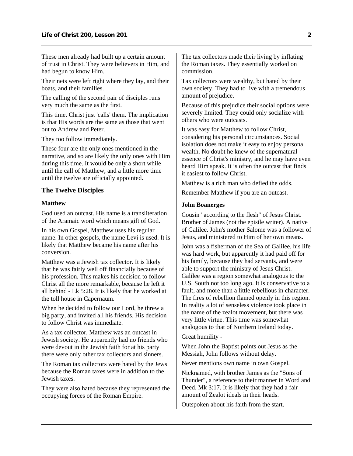<span id="page-4-0"></span>These men already had built up a certain amount of trust in Christ. They were believers in Him, and had begun to know Him.

Their nets were left right where they lay, and their boats, and their families.

The calling of the second pair of disciples runs very much the same as the first.

This time, Christ just 'calls' them. The implication is that His words are the same as those that went out to Andrew and Peter.

They too follow immediately.

These four are the only ones mentioned in the narrative, and so are likely the only ones with Him during this time. It would be only a short while until the call of Matthew, and a little more time until the twelve are officially appointed.

### **The Twelve Disciples**

#### **Matthew**

God used an outcast. His name is a transliteration of the Aramaic word which means gift of God.

In his own Gospel, Matthew uses his regular name. In other gospels, the name Levi is used. It is likely that Matthew became his name after his conversion.

Matthew was a Jewish tax collector. It is likely that he was fairly well off financially because of his profession. This makes his decision to follow Christ all the more remarkable, because he left it all behind - Lk 5:28. It is likely that he worked at the toll house in Capernaum.

When he decided to follow our Lord, he threw a big party, and invited all his friends. His decision to follow Christ was immediate.

As a tax collector, Matthew was an outcast in Jewish society. He apparently had no friends who were devout in the Jewish faith for at his party there were only other tax collectors and sinners.

The Roman tax collectors were hated by the Jews because the Roman taxes were in addition to the Jewish taxes.

They were also hated because they represented the occupying forces of the Roman Empire.

The tax collectors made their living by inflating the Roman taxes. They essentially worked on commission.

Tax collectors were wealthy, but hated by their own society. They had to live with a tremendous amount of prejudice.

Because of this prejudice their social options were severely limited. They could only socialize with others who were outcasts.

It was easy for Matthew to follow Christ, considering his personal circumstances. Social isolation does not make it easy to enjoy personal wealth. No doubt he knew of the supernatural essence of Christ's ministry, and he may have even heard Him speak. It is often the outcast that finds it easiest to follow Christ.

Matthew is a rich man who defied the odds.

Remember Matthew if you are an outcast.

#### **John Boanerges**

Cousin "according to the flesh" of Jesus Christ. Brother of James (not the epistle writer). A native of Galilee. John's mother Salome was a follower of Jesus, and ministered to Him of her own means.

John was a fisherman of the Sea of Galilee, his life was hard work, but apparently it had paid off for his family, because they had servants, and were able to support the ministry of Jesus Christ. Galilee was a region somewhat analogous to the U.S. South not too long ago. It is conservative to a fault, and more than a little rebellious in character. The fires of rebellion flamed openly in this region. In reality a lot of senseless violence took place in the name of the zealot movement, but there was very little virtue. This time was somewhat analogous to that of Northern Ireland today.

#### Great humility -

When John the Baptist points out Jesus as the Messiah, John follows without delay.

Never mentions own name in own Gospel.

Nicknamed, with brother James as the "Sons of Thunder", a reference to their manner in Word and Deed, Mk 3:17. It is likely that they had a fair amount of Zealot ideals in their heads.

Outspoken about his faith from the start.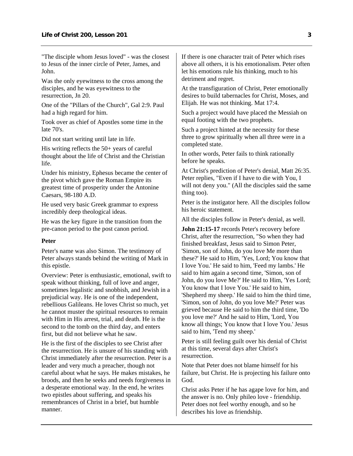"The disciple whom Jesus loved" - was the closest to Jesus of the inner circle of Peter, James, and John.

Was the only eyewitness to the cross among the disciples, and he was eyewitness to the resurrection, Jn 20.

One of the "Pillars of the Church", Gal 2:9. Paul had a high regard for him.

Took over as chief of Apostles some time in the late 70's.

Did not start writing until late in life.

His writing reflects the 50+ years of careful thought about the life of Christ and the Christian life.

Under his ministry, Ephesus became the center of the pivot which gave the Roman Empire its greatest time of prosperity under the Antonine Caesars, 98-180 A.D.

He used very basic Greek grammar to express incredibly deep theological ideas.

He was the key figure in the transition from the pre-canon period to the post canon period.

### **Peter**

Peter's name was also Simon. The testimony of Peter always stands behind the writing of Mark in this epistle.

Overview: Peter is enthusiastic, emotional, swift to speak without thinking, full of love and anger, sometimes legalistic and snobbish, and Jewish in a prejudicial way. He is one of the independent, rebellious Galileans. He loves Christ so much, yet he cannot muster the spiritual resources to remain with Him in His arrest, trial, and death. He is the second to the tomb on the third day, and enters first, but did not believe what he saw.

He is the first of the disciples to see Christ after the resurrection. He is unsure of his standing with Christ immediately after the resurrection. Peter is a leader and very much a preacher, though not careful about what he says. He makes mistakes, he broods, and then he seeks and needs forgiveness in a desperate emotional way. In the end, he writes two epistles about suffering, and speaks his remembrances of Christ in a brief, but humble manner.

If there is one character trait of Peter which rises above all others, it is his emotionalism. Peter often let his emotions rule his thinking, much to his detriment and regret.

At the transfiguration of Christ, Peter emotionally desires to build tabernacles for Christ, Moses, and Elijah. He was not thinking. Mat 17:4.

Such a project would have placed the Messiah on equal footing with the two prophets.

Such a project hinted at the necessity for these three to grow spiritually when all three were in a completed state.

In other words, Peter fails to think rationally before he speaks.

At Christ's prediction of Peter's denial, Matt 26:35. Peter replies, "Even if I have to die with You, I will not deny you." (All the disciples said the same thing too).

Peter is the instigator here. All the disciples follow his heroic statement.

All the disciples follow in Peter's denial, as well.

**John 21:15-17** records Peter's recovery before Christ, after the resurrection, "So when they had finished breakfast, Jesus said to Simon Peter, 'Simon, son of John, do you love Me more than these?' He said to Him, 'Yes, Lord; You know that I love You.' He said to him, 'Feed my lambs.' He said to him again a second time, 'Simon, son of John, do you love Me?' He said to Him, 'Yes Lord; You know that I love You.' He said to him, 'Shepherd my sheep.' He said to him the third time, 'Simon, son of John, do you love Me?' Peter was grieved because He said to him the third time, 'Do you love me?' And he said to Him, 'Lord, You know all things; You know that I love You.' Jesus said to him, 'Tend my sheep.'

Peter is still feeling guilt over his denial of Christ at this time, several days after Christ's resurrection.

Note that Peter does not blame himself for his failure, but Christ. He is projecting his failure onto God.

Christ asks Peter if he has agape love for him, and the answer is no. Only phileo love - friendship. Peter does not feel worthy enough, and so he describes his love as friendship.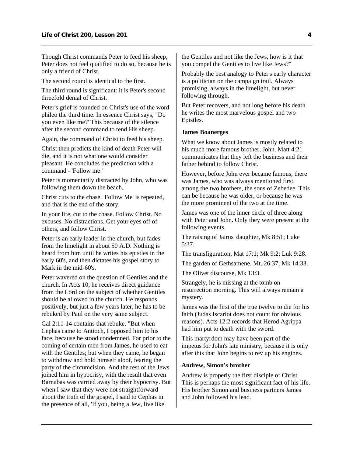Though Christ commands Peter to feed his sheep, Peter does not feel qualified to do so, because he is only a friend of Christ.

The second round is identical to the first.

The third round is significant: it is Peter's second threefold denial of Christ.

Peter's grief is founded on Christ's use of the word phileo the third time. In essence Christ says, "Do you even like me?' This because of the silence after the second command to tend His sheep.

Again, the command of Christ to feed his sheep.

Christ then predicts the kind of death Peter will die, and it is not what one would consider pleasant. He concludes the prediction with a command - 'Follow me!"

Peter is momentarily distracted by John, who was following them down the beach.

Christ cuts to the chase. 'Follow Me' is repeated, and that is the end of the story.

In your life, cut to the chase. Follow Christ. No excuses. No distractions. Get your eyes off of others, and follow Christ.

Peter is an early leader in the church, but fades from the limelight in about 50 A.D. Nothing is heard from him until he writes his epistles in the early 60's, and then dictates his gospel story to Mark in the mid-60's.

Peter wavered on the question of Gentiles and the church. In Acts 10, he receives direct guidance from the Lord on the subject of whether Gentiles should be allowed in the church. He responds positively, but just a few years later, he has to be rebuked by Paul on the very same subject.

Gal 2:11-14 contains that rebuke. "But when Cephas came to Antioch, I opposed him to his face, because he stood condemned. For prior to the coming of certain men from James, he used to eat with the Gentiles; but when they came, he began to withdraw and hold himself aloof, fearing the party of the circumcision. And the rest of the Jews joined him in hypocrisy, with the result that even Barnabas was carried away by their hypocrisy. But when I saw that they were not straightforward about the truth of the gospel, I said to Cephas in the presence of all, 'If you, being a Jew, live like

the Gentiles and not like the Jews, how is it that you compel the Gentiles to live like Jews?"

Probably the best analogy to Peter's early character is a politician on the campaign trail. Always promising, always in the limelight, but never following through.

But Peter recovers, and not long before his death he writes the most marvelous gospel and two Epistles.

### **James Boanerges**

What we know about James is mostly related to his much more famous brother, John. Matt 4:21 communicates that they left the business and their father behind to follow Christ.

However, before John ever became famous, there was James, who was always mentioned first among the two brothers, the sons of Zebedee. This can be because he was older, or because he was the more prominent of the two at the time.

James was one of the inner circle of three along with Peter and John. Only they were present at the following events.

The raising of Jairus' daughter, Mk 8:51; Luke 5:37.

The transfiguration, Mat 17:1; Mk 9:2; Luk 9:28.

The garden of Gethsamene, Mt. 26:37; Mk 14:33.

The Olivet discourse, Mk 13:3.

Strangely, he is missing at the tomb on resurrection morning. This will always remain a mystery.

James was the first of the true twelve to die for his faith (Judas Iscariot does not count for obvious reasons). Acts 12:2 records that Herod Agrippa had him put to death with the sword.

This martyrdom may have been part of the impetus for John's late ministry, because it is only after this that John begins to rev up his engines.

#### **Andrew, Simon's brother**

Andrew is properly the first disciple of Christ. This is perhaps the most significant fact of his life. His brother Simon and business partners James and John followed his lead.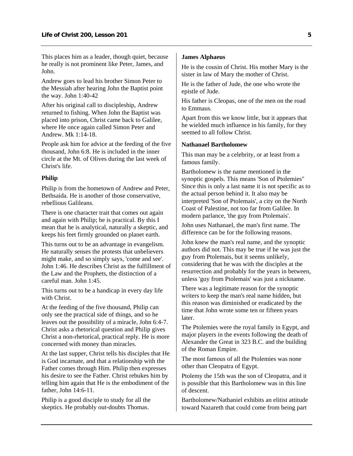This places him as a leader, though quiet, because he really is not prominent like Peter, James, and John.

Andrew goes to lead his brother Simon Peter to the Messiah after hearing John the Baptist point the way. John 1:40-42

After his original call to discipleship, Andrew returned to fishing. When John the Baptist was placed into prison, Christ came back to Galilee, where He once again called Simon Peter and Andrew. Mk  $1:14-18$ .

People ask him for advice at the feeding of the five thousand, John 6:8. He is included in the inner circle at the Mt. of Olives during the last week of Christ's life.

### **Philip**

Philip is from the hometown of Andrew and Peter, Bethsaida. He is another of those conservative, rebellious Galileans.

There is one character trait that comes out again and again with Philip; he is practical. By this I mean that he is analytical, naturally a skeptic, and keeps his feet firmly grounded on planet earth.

This turns out to be an advantage in evangelism. He naturally senses the protests that unbelievers might make, and so simply says, 'come and see'. John 1:46. He describes Christ as the fulfillment of the Law and the Prophets, the distinction of a careful man. John 1:45.

This turns out to be a handicap in every day life with Christ.

At the feeding of the five thousand, Philip can only see the practical side of things, and so he leaves out the possibility of a miracle, John 6:4-7. Christ asks a rhetorical question and Philip gives Christ a non-rhetorical, practical reply. He is more concerned with money than miracles.

At the last supper, Christ tells his disciples that He is God incarnate, and that a relationship with the Father comes through Him. Philip then expresses his desire to see the Father. Christ rebukes him by telling him again that He is the embodiment of the father, John 14:6-11.

Philip is a good disciple to study for all the skeptics. He probably out-doubts Thomas.

### **James Alphaeus**

He is the cousin of Christ. His mother Mary is the sister in law of Mary the mother of Christ.

He is the father of Jude, the one who wrote the epistle of Jude.

His father is Cleopas, one of the men on the road to Emmaus.

Apart from this we know little, but it appears that he wielded much influence in his family, for they seemed to all follow Christ.

#### **Nathanael Bartholomew**

This man may be a celebrity, or at least from a famous family.

Bartholomew is the name mentioned in the synoptic gospels. This means 'Son of Ptolemies" Since this is only a last name it is not specific as to the actual person behind it. It also may be interpreted 'Son of Ptolemais', a city on the North Coast of Palestine, not too far from Galilee. In modern parlance, 'the guy from Ptolemais'.

John uses Nathanael, the man's first name. The difference can be for the following reasons.

John knew the man's real name, and the synoptic authors did not. This may be true if he was just the guy from Ptolemais, but it seems unlikely, considering that he was with the disciples at the resurrection and probably for the years in between, unless 'guy from Ptolemais' was just a nickname.

There was a legitimate reason for the synoptic writers to keep the man's real name hidden, but this reason was diminished or eradicated by the time that John wrote some ten or fifteen years later.

The Ptolemies were the royal family in Egypt, and major players in the events following the death of Alexander the Great in 323 B.C. and the building of the Roman Empire.

The most famous of all the Ptolemies was none other than Cleopatra of Egypt.

Ptolemy the 15th was the son of Cleopatra, and it is possible that this Bartholomew was in this line of descent.

Bartholomew/Nathaniel exhibits an elitist attitude toward Nazareth that could come from being part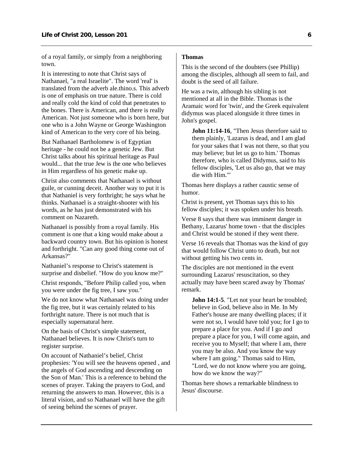of a royal family, or simply from a neighboring town.

It is interesting to note that Christ says of Nathanael, "a real Israelite". The word 'real' is translated from the adverb ale.thino.s. This adverb is one of emphasis on true nature. There is cold and really cold the kind of cold that penetrates to the bones. There is American, and there is really American. Not just someone who is born here, but one who is a John Wayne or George Washington kind of American to the very core of his being.

But Nathanael Bartholomew is of Egyptian heritage - he could not be a genetic Jew. But Christ talks about his spiritual heritage as Paul would... that the true Jew is the one who believes in Him regardless of his genetic make up.

Christ also comments that Nathanael is without guile, or cunning deceit. Another way to put it is that Nathaniel is very forthright; he says what he thinks. Nathanael is a straight-shooter with his words, as he has just demonstrated with his comment on Nazareth.

Nathanael is possibly from a royal family. His comment is one that a king would make about a backward country town. But his opinion is honest and forthright. "Can any good thing come out of Arkansas?"

Nathaniel's response to Christ's statement is surprise and disbelief. "How do you know me?"

Christ responds, "Before Philip called you, when you were under the fig tree, I saw you."

We do not know what Nathanael was doing under the fig tree, but it was certainly related to his forthright nature. There is not much that is especially supernatural here.

On the basis of Christ's simple statement, Nathanael believes. It is now Christ's turn to register surprise.

On account of Nathaniel's belief, Christ prophesies: 'You will see the heavens opened , and the angels of God ascending and descending on the Son of Man.' This is a reference to behind the scenes of prayer. Taking the prayers to God, and returning the answers to man. However, this is a literal vision, and so Nathanael will have the gift of seeing behind the scenes of prayer.

### **Thomas**

This is the second of the doubters (see Phillip) among the disciples, although all seem to fail, and doubt is the seed of all failure.

He was a twin, although his sibling is not mentioned at all in the Bible. Thomas is the Aramaic word for 'twin', and the Greek equivalent didymus was placed alongside it three times in John's gospel.

**John 11:14-16**, "Then Jesus therefore said to them plainly, 'Lazarus is dead, and I am glad for your sakes that I was not there, so that you may believe; but let us go to him.' Thomas therefore, who is called Didymus, said to his fellow disciples, 'Let us also go, that we may die with Him.'"

Thomas here displays a rather caustic sense of humor.

Christ is present, yet Thomas says this to his fellow disciples; it was spoken under his breath.

Verse 8 says that there was imminent danger in Bethany, Lazarus' home town - that the disciples and Christ would be stoned if they went there.

Verse 16 reveals that Thomas was the kind of guy that would follow Christ unto to death, but not without getting his two cents in.

The disciples are not mentioned in the event surrounding Lazarus' resuscitation, so they actually may have been scared away by Thomas' remark.

**John 14:1-5**. "Let not your heart be troubled; believe in God, believe also in Me. In My Father's house are many dwelling places; if it were not so, I would have told you; for I go to prepare a place for you. And if I go and prepare a place for you, I will come again, and receive you to Myself; that where I am, there you may be also. And you know the way where I am going." Thomas said to Him, "Lord, we do not know where you are going, how do we know the way?"

Thomas here shows a remarkable blindness to Jesus' discourse.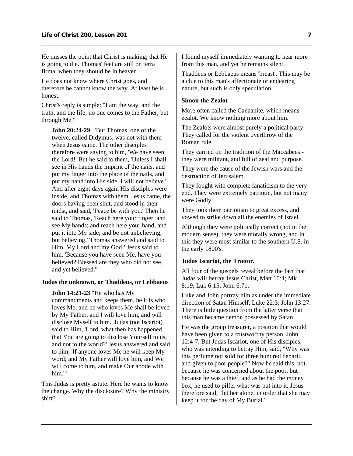He misses the point that Christ is making; that He is going to die. Thomas' feet are still on terra firma, when they should be in heaven.

He does not know where Christ goes, and therefore he cannot know the way. At least he is honest.

Christ's reply is simple: "I am the way, and the truth, and the life; no one comes to the Father, but through Me."

**John 20:24-29**. "But Thomas, one of the twelve, called Didymus, was not with them when Jesus came. The other disciples therefore were saying to him, 'We have seen the Lord!' But he said to them, 'Unless I shall see in His hands the imprint of the nails, and put my finger into the place of the nails, and put my hand into His side, I will not believe.' And after eight days again His disciples were inside, and Thomas with them. Jesus came, the doors having been shut, and stood in their midst, and said, 'Peace be with you.' Then he said to Thomas, 'Reach here your finger, and see My hands; and reach here your hand, and put it into My side; and be not unbelieving, but believing.' Thomas answered and said to Him, My Lord and my God!' Jesus said to him, 'Because you have seen Me, have you believed? Blessed are they who did not see, and yet believed.'"

#### **Judas the unknown, or Thaddeus, or Lebbaeus**

**John 14:21-23** "He who has My commandments and keeps them, he it is who loves Me; and he who loves Me shall be loved by My Father, and I will love him, and will disclose Myself to him.' Judas (not Iscariot) said to Him, 'Lord, what then has happened that You are going to disclose Yourself to us, and not to the world?' Jesus answered and said to him, 'If anyone loves Me he will keep My word; and My Father will love him, and We will come to him, and make Our abode with him.'"

This Judas is pretty astute. Here he wants to know the change. Why the disclosure? Why the ministry shift?

I found myself immediately wanting to hear more from this man, and yet he remains silent.

Thaddeus or Lebbaeus means 'breast'. This may be a clue to this man's affectionate or endearing nature, but such is only speculation.

#### **Simon the Zealot**

More often called the Canaanite, which means zealot. We know nothing more about him.

The Zealots were almost purely a political party. They called for the violent overthrow of the Roman rule.

They carried on the tradition of the Maccabees they were militant, and full of zeal and purpose.

They were the cause of the Jewish wars and the destruction of Jerusalem.

They fought with complete fanaticism to the very end. They were extremely patriotic, but not many were Godly.

They took their patriotism to great excess, and vowed to strike down all the enemies of Israel.

Although they were politically correct (not in the modern sense), they were morally wrong, and in this they were most similar to the southern U.S. in the early 1800's.

### **Judas Iscariot, the Traitor.**

All four of the gospels reveal before the fact that Judas will betray Jesus Christ, Matt 10:4; Mk 8:19; Luk 6:15; John 6:71.

Luke and John portray him as under the immediate direction of Satan Himself, Luke 22:3; John 13:27. There is little question from the latter verse that this man became demon possessed by Satan.

He was the group treasurer, a position that would have been given to a trustworthy person. John 12:4-7, But Judas Iscariot, one of His disciples, who was intending to betray Him, said, "Why was this perfume not sold for three hundred denarii, and given to poor people?" Now he said this, not because he was concerned about the poor, but because he was a thief, and as he had the money box, he used to pilfer what was put into it. Jesus therefore said, "let her alone, in order that she may keep it for the day of My Burial."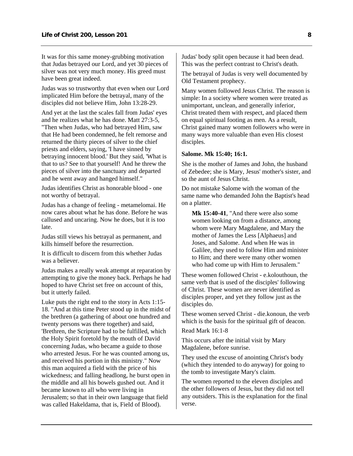It was for this same money-grubbing motivation that Judas betrayed our Lord, and yet 30 pieces of silver was not very much money. His greed must have been great indeed.

Judas was so trustworthy that even when our Lord implicated Him before the betrayal, many of the disciples did not believe Him, John 13:28-29.

And yet at the last the scales fall from Judas' eyes and he realizes what he has done. Matt 27:3-5, "Then when Judas, who had betrayed Him, saw that He had been condemned, he felt remorse and returned the thirty pieces of silver to the chief priests and elders, saying, 'I have sinned by betraying innocent blood.' But they said, 'What is that to us? See to that yourself! And he threw the pieces of silver into the sanctuary and departed and he went away and hanged himself."

Judas identifies Christ as honorable blood - one not worthy of betrayal.

Judas has a change of feeling - metamelomai. He now cares about what he has done. Before he was callused and uncaring. Now he does, but it is too late.

Judas still views his betrayal as permanent, and kills himself before the resurrection.

It is difficult to discern from this whether Judas was a believer.

Judas makes a really weak attempt at reparation by attempting to give the money back. Perhaps he had hoped to have Christ set free on account of this, but it utterly failed.

Luke puts the right end to the story in Acts 1:15- 18. "And at this time Peter stood up in the midst of the brethren (a gathering of about one hundred and twenty persons was there together) and said, 'Brethren, the Scripture had to be fulfilled, which the Holy Spirit foretold by the mouth of David concerning Judas, who became a guide to those who arrested Jesus. For he was counted among us, and received his portion in this ministry." Now this man acquired a field with the price of his wickedness; and falling headlong, he burst open in the middle and all his bowels gushed out. And it became known to all who were living in Jerusalem; so that in their own language that field was called Hakeldama, that is, Field of Blood).

Judas' body split open because it had been dead. This was the perfect contrast to Christ's death.

The betrayal of Judas is very well documented by Old Testament prophecy.

Many women followed Jesus Christ. The reason is simple: In a society where women were treated as unimportant, unclean, and generally inferior, Christ treated them with respect, and placed them on equal spiritual footing as men. As a result, Christ gained many women followers who were in many ways more valuable than even His closest disciples.

#### **Salome. Mk 15:40; 16:1.**

She is the mother of James and John, the husband of Zebedee; she is Mary, Jesus' mother's sister, and so the aunt of Jesus Christ.

Do not mistake Salome with the woman of the same name who demanded John the Baptist's head on a platter.

**Mk 15:40-41**, "And there were also some women looking on from a distance, among whom were Mary Magdalene, and Mary the mother of James the Less [Alphaeus] and Joses, and Salome. And when He was in Galilee, they used to follow Him and minister to Him; and there were many other women who had come up with Him to Jerusalem."

These women followed Christ - e.kolouthoun, the same verb that is used of the disciples' following of Christ. These women are never identified as disciples proper, and yet they follow just as the disciples do.

These women served Christ - die.konoun, the verb which is the basis for the spiritual gift of deacon.

Read Mark 16:1-8

This occurs after the initial visit by Mary Magdalene, before sunrise.

They used the excuse of anointing Christ's body (which they intended to do anyway) for going to the tomb to investigate Mary's claim.

The women reported to the eleven disciples and the other followers of Jesus, but they did not tell any outsiders. This is the explanation for the final verse.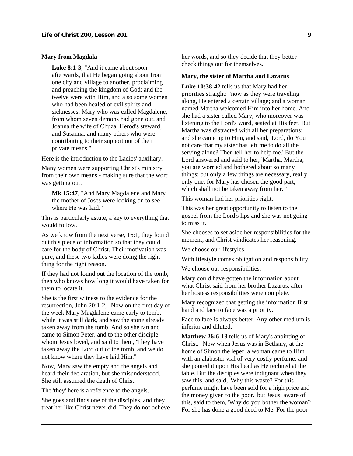### **Mary from Magdala**

**Luke 8:1-3**, "And it came about soon afterwards, that He began going about from one city and village to another, proclaiming and preaching the kingdom of God; and the twelve were with Him, and also some women who had been healed of evil spirits and sicknesses; Mary who was called Magdalene, from whom seven demons had gone out, and Joanna the wife of Chuza, Herod's steward, and Susanna, and many others who were contributing to their support out of their private means."

Here is the introduction to the Ladies' auxiliary.

Many women were supporting Christ's ministry from their own means - making sure that the word was getting out.

**Mk 15:47**, "And Mary Magdalene and Mary the mother of Joses were looking on to see where He was laid."

This is particularly astute, a key to everything that would follow.

As we know from the next verse, 16:1, they found out this piece of information so that they could care for the body of Christ. Their motivation was pure, and these two ladies were doing the right thing for the right reason.

If they had not found out the location of the tomb, then who knows how long it would have taken for them to locate it.

She is the first witness to the evidence for the resurrection, John 20:1-2, "Now on the first day of the week Mary Magdalene came early to tomb, while it was still dark, and saw the stone already taken away from the tomb. And so she ran and came to Simon Peter, and to the other disciple whom Jesus loved, and said to them, 'They have taken away the Lord out of the tomb, and we do not know where they have laid Him.'"

Now, Mary saw the empty and the angels and heard their declaration, but she misunderstood. She still assumed the death of Christ.

The 'they' here is a reference to the angels.

She goes and finds one of the disciples, and they treat her like Christ never did. They do not believe her words, and so they decide that they better check things out for themselves.

### **Mary, the sister of Martha and Lazarus**

**Luke 10:38-42** tells us that Mary had her priorities straight: "now as they were traveling along, He entered a certain village; and a woman named Martha welcomed Him into her home. And she had a sister called Mary, who moreover was listening to the Lord's word, seated at His feet. But Martha was distracted with all her preparations; and she came up to Him, and said, 'Lord, do You not care that my sister has left me to do all the serving alone? Then tell her to help me.' But the Lord answered and said to her, 'Martha, Martha, you are worried and bothered about so many things; but only a few things are necessary, really only one, for Mary has chosen the good part, which shall not be taken away from her.'"

This woman had her priorities right.

This was her great opportunity to listen to the gospel from the Lord's lips and she was not going to miss it.

She chooses to set aside her responsibilities for the moment, and Christ vindicates her reasoning.

We choose our lifestyles.

With lifestyle comes obligation and responsibility.

We choose our responsibilities.

Mary could have gotten the information about what Christ said from her brother Lazarus, after her hostess responsibilities were complete.

Mary recognized that getting the information first hand and face to face was a priority.

Face to face is always better. Any other medium is inferior and diluted.

**Matthew 26:6-13** tells us of Mary's anointing of Christ. "Now when Jesus was in Bethany, at the home of Simon the leper, a woman came to Him with an alabaster vial of very costly perfume, and she poured it upon His head as He reclined at the table. But the disciples were indignant when they saw this, and said, 'Why this waste? For this perfume might have been sold for a high price and the money given to the poor.' but Jesus, aware of this, said to them, 'Why do you bother the woman? For she has done a good deed to Me. For the poor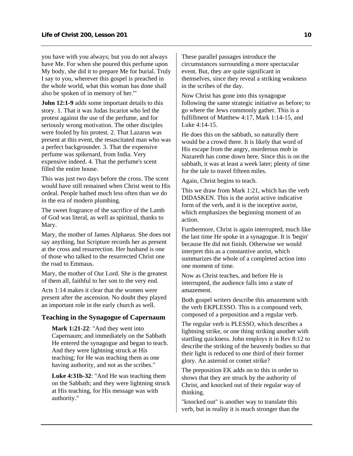<span id="page-12-0"></span>you have with you always; but you do not always have Me. For when she poured this perfume upon My body, she did it to prepare Me for burial. Truly I say to you, wherever this gospel is preached in the whole world, what this woman has done shall also be spoken of in memory of her.'"

**John 12:1-9** adds some important details to this story. 1. That it was Judas Iscariot who led the protest against the use of the perfume, and for seriously wrong motivation. The other disciples were fooled by his protest. 2. That Lazarus was present at this event, the resuscitated man who was a perfect backgrounder. 3. That the expensive perfume was spikenard, from India. Very expensive indeed. 4. That the perfume's scent filled the entire house.

This was just two days before the cross. The scent would have still remained when Christ went to His ordeal. People bathed much less often than we do in the era of modern plumbing.

The sweet fragrance of the sacrifice of the Lamb of God was literal, as well as spiritual, thanks to Mary.

Mary, the mother of James Alphaeus. She does not say anything, but Scripture records her as present at the cross and resurrection. Her husband is one of those who talked to the resurrected Christ one the road to Emmaus.

Mary, the mother of Our Lord. She is the greatest of them all, faithful to her son to the very end.

Acts 1:14 makes it clear that the women were present after the ascension. No doubt they played an important role in the early church as well.

### **Teaching in the Synagogue of Capernaum**

**Mark 1:21-22**: "And they went into Capernaum; and immediately on the Sabbath He entered the synagogue and began to teach. And they were lightning struck at His teaching; for He was teaching them as one having authority, and not as the scribes."

**Luke 4:31b-32**: "And He was teaching them on the Sabbath; and they were lightning struck at His teaching, for His message was with authority."

These parallel passages introduce the circumstances surrounding a more spectacular event. But, they are quite significant in themselves, since they reveal a striking weakness in the scribes of the day.

Now Christ has gone into this synagogue following the same strategic initiative as before; to go where the Jews commonly gather. This is a fulfillment of Matthew 4:17, Mark 1:14-15, and Luke 4:14-15.

He does this on the sabbath, so naturally there would be a crowd there. It is likely that word of His escape from the angry, murderous mob in Nazareth has come down here. Since this is on the sabbath, it was at least a week later; plenty of time for the tale to travel fifteen miles.

Again, Christ begins to teach.

This we draw from Mark 1:21, which has the verb DIDASKEN. This is the aorist active indicative form of the verb, and it is the inceptive aorist, which emphasizes the beginning moment of an action.

Furthermore, Christ is again interrupted, much like the last time He spoke in a synagogue. It is 'begin' because He did not finish. Otherwise we would interpret this as a constantive aorist, which summarizes the whole of a completed action into one moment of time.

Now as Christ teaches, and before He is interrupted, the audience falls into a state of amazement.

Both gospel writers describe this amazement with the verb EKPLESSO. This is a compound verb, composed of a preposition and a regular verb.

The regular verb is PLESSO, which describes a lightning strike, or one thing striking another with startling quickness. John employs it in Rev 8:12 to describe the striking of the heavenly bodies so that their light is reduced to one third of their former glory. An asteroid or comet strike?

The preposition EK adds on to this in order to shows that they are struck by the authority of Christ, and knocked out of their regular way of thinking.

"knocked out" is another way to translate this verb, but in reality it is much stronger than the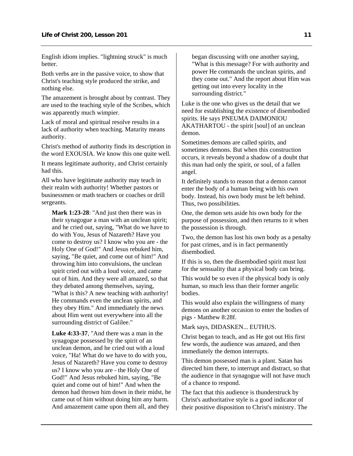English idiom implies. "lightning struck" is much better.

Both verbs are in the passive voice, to show that Christ's teaching style produced the strike, and nothing else.

The amazement is brought about by contrast. They are used to the teaching style of the Scribes, which was apparently much wimpier.

Lack of moral and spiritual resolve results in a lack of authority when teaching. Maturity means authority.

Christ's method of authority finds its description in the word EXOUSIA. We know this one quite well.

It means legitimate authority, and Christ certainly had this.

All who have legitimate authority may teach in their realm with authority! Whether pastors or businessmen or math teachers or coaches or drill sergeants.

**Mark 1:23-28**: "And just then there was in their synagogue a man with an unclean spirit; and he cried out, saying, "What do we have to do with You, Jesus of Nazareth? Have you come to destroy us? I know who you are - the Holy One of God!" And Jesus rebuked him, saying, "Be quiet, and come out of him!" And throwing him into convulsions, the unclean spirit cried out with a loud voice, and came out of him. And they were all amazed, so that they debated among themselves, saying, "What is this? A new teaching with authority! He commands even the unclean spirits, and they obey Him." And immediately the news about Him went out everywhere into all the surrounding district of Galilee."

**Luke 4:33-37**, "And there was a man in the synagogue possessed by the spirit of an unclean demon, and he cried out with a loud voice, "Ha! What do we have to do with you, Jesus of Nazareth? Have you come to destroy us? I know who you are - the Holy One of God!" And Jesus rebuked him, saying, "Be quiet and come out of him!" And when the demon had thrown him down in their midst, he came out of him without doing him any harm. And amazement came upon them all, and they

began discussing with one another saying, "What is this message? For with authority and power He commands the unclean spirits, and they come out." And the report about Him was getting out into every locality in the surrounding district."

Luke is the one who gives us the detail that we need for establishing the existence of disembodied spirits. He says PNEUMA DAIMONIOU AKATHARTOU - the spirit [soul] of an unclean demon.

Sometimes demons are called spirits, and sometimes demons. But when this construction occurs, it reveals beyond a shadow of a doubt that this man had only the spirit, or soul, of a fallen angel.

It definitely stands to reason that a demon cannot enter the body of a human being with his own body. Instead, his own body must be left behind. Thus, two possibilities.

One, the demon sets aside his own body for the purpose of possession, and then returns to it when the possession is through.

Two, the demon has lost his own body as a penalty for past crimes, and is in fact permanently disembodied.

If this is so, then the disembodied spirit must lust for the sensuality that a physical body can bring.

This would be so even if the physical body is only human, so much less than their former angelic bodies.

This would also explain the willingness of many demons on another occasion to enter the bodies of pigs - Matthew 8:28f.

Mark says, DIDASKEN... EUTHUS.

Christ began to teach, and as He got out His first few words, the audience was amazed, and then immediately the demon interrupts.

This demon possessed man is a plant. Satan has directed him there, to interrupt and distract, so that the audience in that synagogue will not have much of a chance to respond.

The fact that this audience is thunderstruck by Christ's authoritative style is a good indicator of their positive disposition to Christ's ministry. The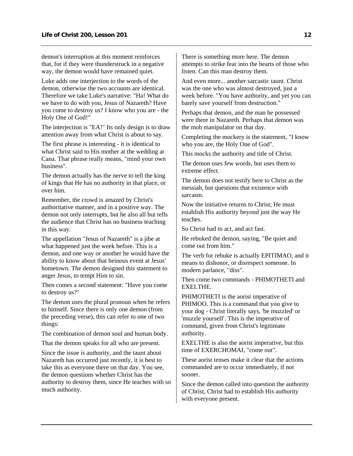demon's interruption at this moment reinforces that, for if they were thunderstruck in a negative way, the demon would have remained quiet.

Luke adds one interjection to the words of the demon, otherwise the two accounts are identical. Therefore we take Luke's narrative: "Ha! What do we have to do with you, Jesus of Nazareth? Have you come to destroy us? I know who you are - the Holy One of God!"

The interjection is "EA!" Its only design is to draw attention away from what Christ is about to say.

The first phrase is interesting - it is identical to what Christ said to His mother at the wedding at Cana. That phrase really means, "mind your own business".

The demon actually has the nerve to tell the king of kings that He has no authority in that place, or over him.

Remember, the crowd is amazed by Christ's authoritative manner, and in a positive way. The demon not only interrupts, but he also all but tells the audience that Christ has no business teaching in this way.

The appellation "Jesus of Nazareth" is a jibe at what happened just the week before. This is a demon, and one way or another he would have the ability to know about that heinous event at Jesus' hometown. The demon designed this statement to anger Jesus, to tempt Him to sin.

Then comes a second statement: "Have you come to destroy us?"

The demon uses the plural pronoun when he refers to himself. Since there is only one demon (from the preceding verse), this can refer to one of two things:

The combination of demon soul and human body.

That the demon speaks for all who are present.

Since the issue is authority, and the taunt about Nazareth has occurred just recently, it is best to take this as everyone there on that day. You see, the demon questions whether Christ has the authority to destroy them, since He teaches with so much authority.

There is something more here. The demon attempts to strike fear into the hearts of those who listen. Can this man destroy them.

And even more... another sarcastic taunt. Christ was the one who was almost destroyed, just a week before. "You have authority, and yet you can barely save yourself from destruction."

Perhaps that demon, and the man he possessed were there in Nazareth. Perhaps that demon was the mob manipulator on that day.

Completing the mockery is the statement, "I know who you are, the Holy One of God".

This mocks the authority and title of Christ.

The demon uses few words, but uses them to extreme effect.

The demon does not testify here to Christ as the messiah, but questions that existence with sarcasm.

Now the initiative returns to Christ; He must establish His authority beyond just the way He teaches.

So Christ had to act, and act fast.

He rebuked the demon, saying, "Be quiet and come out from him."

The verb for rebuke is actually EPITIMAO, and it means to dishonor, or disrespect someone. In modern parlance, "diss".

Then come two commands - PHIMOTHETI and EXELTHE.

PHIMOTHETI is the aorist imperative of PHIMOO. This is a command that you give to your dog - Christ literally says, 'be muzzled' or 'muzzle yourself'. This is the imperative of command, given from Christ's legitimate authority.

EXELTHE is also the aorist imperative, but this time of EXERCHOMAI, "come out".

These aorist tenses make it clear that the actions commanded are to occur immediately, if not sooner.

Since the demon called into question the authority of Christ, Christ had to establish His authority with everyone present.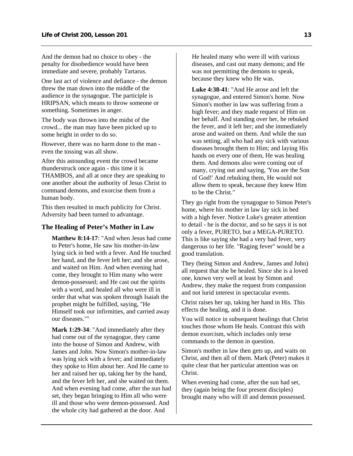<span id="page-15-0"></span>And the demon had no choice to obey - the penalty for disobedience would have been immediate and severe, probably Tartarus.

One last act of violence and defiance - the demon threw the man down into the middle of the audience in the synagogue. The participle is HRIPSAN, which means to throw someone or something. Sometimes in anger.

The body was thrown into the midst of the crowd... the man may have been picked up to some height in order to do so.

However, there was no harm done to the man even the tossing was all show.

After this astounding event the crowd became thunderstruck once again - this time it is THAMBOS, and all at once they are speaking to one another about the authority of Jesus Christ to command demons, and exorcise them from a human body.

This then resulted in much publicity for Christ. Adversity had been turned to advantage.

### **The Healing of Peter's Mother in Law**

**Matthew 8:14-17**: "And when Jesus had come to Peter's home, He saw his mother-in-law lying sick in bed with a fever. And He touched her hand, and the fever left her; and she arose, and waited on Him. And when evening had come, they brought to Him many who were demon-possessed; and He cast out the spirits with a word, and healed all who were ill in order that what was spoken through Isaiah the prophet might be fulfilled, saying, "He Himself took our infirmities, and carried away our diseases.""

**Mark 1:29-34**: "And immediately after they had come out of the synagogue, they came into the house of Simon and Andrew, with James and John. Now Simon's mother-in-law was lying sick with a fever; and immediately they spoke to Him about her. And He came to her and raised her up, taking her by the hand, and the fever left her, and she waited on them. And when evening had come, after the sun had set, they began bringing to Him all who were ill and those who were demon-possessed. And the whole city had gathered at the door. And

He healed many who were ill with various diseases, and cast out many demons; and He was not permitting the demons to speak, because they knew who He was.

**Luke 4:38-41**: "And He arose and left the synagogue, and entered Simon's home. Now Simon's mother in law was suffering from a high fever; and they made request of Him on her behalf. And standing over her, he rebuked the fever, and it left her; and she immediately arose and waited on them. And while the sun was setting, all who had any sick with various diseases brought them to Him; and laying His hands on every one of them, He was healing them. And demons also were coming out of many, crying out and saying, 'You are the Son of God!' And rebuking them, He would not allow them to speak, because they knew Him to be the Christ."

They go right from the synagogue to Simon Peter's home, where his mother in law lay sick in bed with a high fever. Notice Luke's greater attention to detail - he is the doctor, and so he says it is not only a fever, PURETO, but a MEGA-PURETO. This is like saying she had a very bad fever, very dangerous to her life. "Raging fever" would be a good translation.

They (being Simon and Andrew, James and John) all request that she be healed. Since she is a loved one, known very well at least by Simon and Andrew, they make the request from compassion and not lurid interest in spectacular events.

Christ raises her up, taking her hand in His. This effects the healing, and it is done.

You will notice in subsequent healings that Christ touches those whom He heals. Contrast this with demon exorcism, which includes only terse commands to the demon in question.

Simon's mother in law then gets up, and waits on Christ, and then all of them. Mark (Peter) makes it quite clear that her particular attention was on Christ.

When evening had come, after the sun had set, they (again being the four present disciples) brought many who will ill and demon possessed.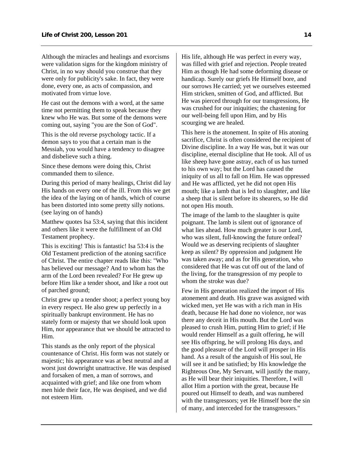Although the miracles and healings and exorcisms were validation signs for the kingdom ministry of Christ, in no way should you construe that they were only for publicity's sake. In fact, they were done, every one, as acts of compassion, and motivated from virtue love.

He cast out the demons with a word, at the same time not permitting them to speak because they knew who He was. But some of the demons were coming out, saying "you are the Son of God".

This is the old reverse psychology tactic. If a demon says to you that a certain man is the Messiah, you would have a tendency to disagree and disbelieve such a thing.

Since these demons were doing this, Christ commanded them to silence.

During this period of many healings, Christ did lay His hands on every one of the ill. From this we get the idea of the laying on of hands, which of course has been distorted into some pretty silly notions. (see laying on of hands)

Matthew quotes Isa 53:4, saying that this incident and others like it were the fulfillment of an Old Testament prophecy.

This is exciting! This is fantastic! Isa 53:4 is the Old Testament prediction of the atoning sacrifice of Christ. The entire chapter reads like this: "Who has believed our message? And to whom has the arm of the Lord been revealed? For He grew up before Him like a tender shoot, and like a root out of parched ground;

Christ grew up a tender shoot; a perfect young boy in every respect. He also grew up perfectly in a spiritually bankrupt environment. He has no stately form or majesty that we should look upon Him, nor appearance that we should be attracted to Him.

This stands as the only report of the physical countenance of Christ. His form was not stately or majestic; his appearance was at best neutral and at worst just downright unattractive. He was despised and forsaken of men, a man of sorrows, and acquainted with grief; and like one from whom men hide their face, He was despised, and we did not esteem Him.

His life, although He was perfect in every way, was filled with grief and rejection. People treated Him as though He had some deforming disease or handicap. Surely our griefs He Himself bore, and our sorrows He carried; yet we ourselves esteemed Him stricken, smitten of God, and afflicted. But He was pierced through for our transgressions, He was crushed for our iniquities; the chastening for our well-being fell upon Him, and by His scourging we are healed.

This here is the atonement. In spite of His atoning sacrifice, Christ is often considered the recipient of Divine discipline. In a way He was, but it was our discipline, eternal discipline that He took. All of us like sheep have gone astray, each of us has turned to his own way; but the Lord has caused the iniquity of us all to fall on Him. He was oppressed and He was afflicted, yet he did not open His mouth; like a lamb that is led to slaughter, and like a sheep that is silent before its shearers, so He did not open His mouth.

The image of the lamb to the slaughter is quite poignant. The lamb is silent out of ignorance of what lies ahead. How much greater is our Lord, who was silent, full-knowing the future ordeal? Would we as deserving recipients of slaughter keep as silent? By oppression and judgment He was taken away; and as for His generation, who considered that He was cut off out of the land of the living, for the transgression of my people to whom the stroke was due?

Few in His generation realized the import of His atonement and death. His grave was assigned with wicked men, yet He was with a rich man in His death, because He had done no violence, nor was there any deceit in His mouth. But the Lord was pleased to crush Him, putting Him to grief; if He would render Himself as a guilt offering, he will see His offspring, he will prolong His days, and the good pleasure of the Lord will prosper in His hand. As a result of the anguish of His soul, He will see it and be satisfied; by His knowledge the Righteous One, My Servant, will justify the many, as He will bear their iniquities. Therefore, I will allot Him a portion with the great, because He poured out Himself to death, and was numbered with the transgressors; yet He Himself bore the sin of many, and interceded for the transgressors."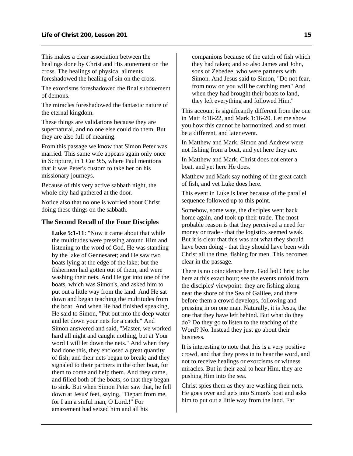<span id="page-17-0"></span>This makes a clear association between the healings done by Christ and His atonement on the cross. The healings of physical ailments foreshadowed the healing of sin on the cross.

The exorcisms foreshadowed the final subduement of demons.

The miracles foreshadowed the fantastic nature of the eternal kingdom.

These things are validations because they are supernatural, and no one else could do them. But they are also full of meaning.

From this passage we know that Simon Peter was married. This same wife appears again only once in Scripture, in 1 Cor 9:5, where Paul mentions that it was Peter's custom to take her on his missionary journeys.

Because of this very active sabbath night, the whole city had gathered at the door.

Notice also that no one is worried about Christ doing these things on the sabbath.

### **The Second Recall of the Four Disciples**

**Luke 5:1-11**: "Now it came about that while the multitudes were pressing around Him and listening to the word of God, He was standing by the lake of Gennesaret; and He saw two boats lying at the edge of the lake; but the fishermen had gotten out of them, and were washing their nets. And He got into one of the boats, which was Simon's, and asked him to put out a little way from the land. And He sat down and began teaching the multitudes from the boat. And when He had finished speaking, He said to Simon, "Put out into the deep water and let down your nets for a catch." And Simon answered and said, "Master, we worked hard all night and caught nothing, but at Your word I will let down the nets." And when they had done this, they enclosed a great quantity of fish; and their nets began to break; and they signaled to their partners in the other boat, for them to come and help them. And they came, and filled both of the boats, so that they began to sink. But when Simon Peter saw that, he fell down at Jesus' feet, saying, "Depart from me, for I am a sinful man, O Lord.!" For amazement had seized him and all his

companions because of the catch of fish which they had taken; and so also James and John, sons of Zebedee, who were partners with Simon. And Jesus said to Simon, "Do not fear, from now on you will be catching men" And when they had brought their boats to land, they left everything and followed Him."

This account is significantly different from the one in Matt 4:18-22, and Mark 1:16-20. Let me show you how this cannot be harmonized, and so must be a different, and later event.

In Matthew and Mark, Simon and Andrew were not fishing from a boat, and yet here they are.

In Matthew and Mark, Christ does not enter a boat, and yet here He does.

Matthew and Mark say nothing of the great catch of fish, and yet Luke does here.

This event in Luke is later because of the parallel sequence followed up to this point.

Somehow, some way, the disciples went back home again, and took up their trade. The most probable reason is that they perceived a need for money or trade - that the logistics seemed weak. But it is clear that this was not what they should have been doing - that they should have been with Christ all the time, fishing for men. This becomes clear in the passage.

There is no coincidence here. God led Christ to be here at this exact hour; see the events unfold from the disciples' viewpoint: they are fishing along near the shore of the Sea of Galilee, and there before them a crowd develops, following and pressing in on one man. Naturally, it is Jesus, the one that they have left behind. But what do they do? Do they go to listen to the teaching of the Word? No. Instead they just go about their business.

It is interesting to note that this is a very positive crowd, and that they press in to hear the word, and not to receive healings or exorcisms or witness miracles. But in their zeal to hear Him, they are pushing Him into the sea.

Christ spies them as they are washing their nets. He goes over and gets into Simon's boat and asks him to put out a little way from the land. Far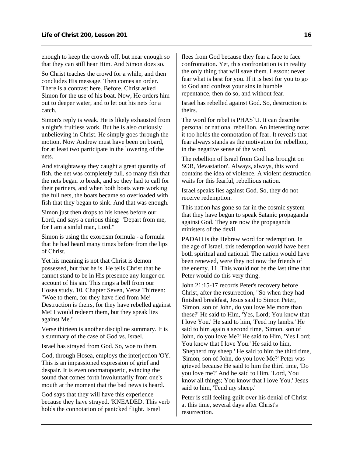enough to keep the crowds off, but near enough so that they can still hear Him. And Simon does so.

So Christ teaches the crowd for a while, and then concludes His message. Then comes an order. There is a contrast here. Before, Christ asked Simon for the use of his boat. Now, He orders him out to deeper water, and to let out his nets for a catch.

Simon's reply is weak. He is likely exhausted from a night's fruitless work. But he is also curiously unbelieving in Christ. He simply goes through the motion. Now Andrew must have been on board, for at least two participate in the lowering of the nets.

And straightaway they caught a great quantity of fish, the net was completely full, so many fish that the nets began to break, and so they had to call for their partners, and when both boats were working the full nets, the boats became so overloaded with fish that they began to sink. And that was enough.

Simon just then drops to his knees before our Lord, and says a curious thing: "Depart from me, for I am a sinful man, Lord."

Simon is using the exorcism formula - a formula that he had heard many times before from the lips of Christ.

Yet his meaning is not that Christ is demon possessed, but that he is. He tells Christ that he cannot stand to be in His presence any longer on account of his sin. This rings a bell from our Hosea study. 10. Chapter Seven, Verse Thirteen: "Woe to them, for they have fled from Me! Destruction is theirs, for they have rebelled against Me! I would redeem them, but they speak lies against Me."

Verse thirteen is another discipline summary. It is a summary of the case of God vs. Israel.

Israel has strayed from God. So, woe to them.

God, through Hosea, employs the interjection 'OY. This is an impassioned expression of grief and despair. It is even onomatopoetic, evincing the sound that comes forth involuntarily from one's mouth at the moment that the bad news is heard.

God says that they will have this experience because they have strayed, 'KNEADED. This verb holds the connotation of panicked flight. Israel

flees from God because they fear a face to face confrontation. Yet, this confrontation is in reality the only thing that will save them. Lesson: never fear what is best for you. If it is best for you to go to God and confess your sins in humble repentance, then do so, and without fear.

Israel has rebelled against God. So, destruction is theirs.

The word for rebel is PHAS`U. It can describe personal or national rebellion. An interesting note: it too holds the connotation of fear. It reveals that fear always stands as the motivation for rebellion, in the negative sense of the word.

The rebellion of Israel from God has brought on SOR, 'devastation'. Always, always, this word contains the idea of violence. A violent destruction waits for this fearful, rebellious nation.

Israel speaks lies against God. So, they do not receive redemption.

This nation has gone so far in the cosmic system that they have begun to speak Satanic propaganda against God. They are now the propaganda ministers of the devil.

PADAH is the Hebrew word for redemption. In the age of Israel, this redemption would have been both spiritual and national. The nation would have been renewed, were they not now the friends of the enemy. 11. This would not be the last time that Peter would do this very thing.

John 21:15-17 records Peter's recovery before Christ, after the resurrection, "So when they had finished breakfast, Jesus said to Simon Peter, 'Simon, son of John, do you love Me more than these?' He said to Him, 'Yes, Lord; You know that I love You.' He said to him, 'Feed my lambs.' He said to him again a second time, 'Simon, son of John, do you love Me?' He said to Him, 'Yes Lord; You know that I love You.' He said to him, 'Shepherd my sheep.' He said to him the third time, 'Simon, son of John, do you love Me?' Peter was grieved because He said to him the third time, 'Do you love me?' And he said to Him, 'Lord, You know all things; You know that I love You.' Jesus said to him, 'Tend my sheep.'

Peter is still feeling guilt over his denial of Christ at this time, several days after Christ's resurrection.